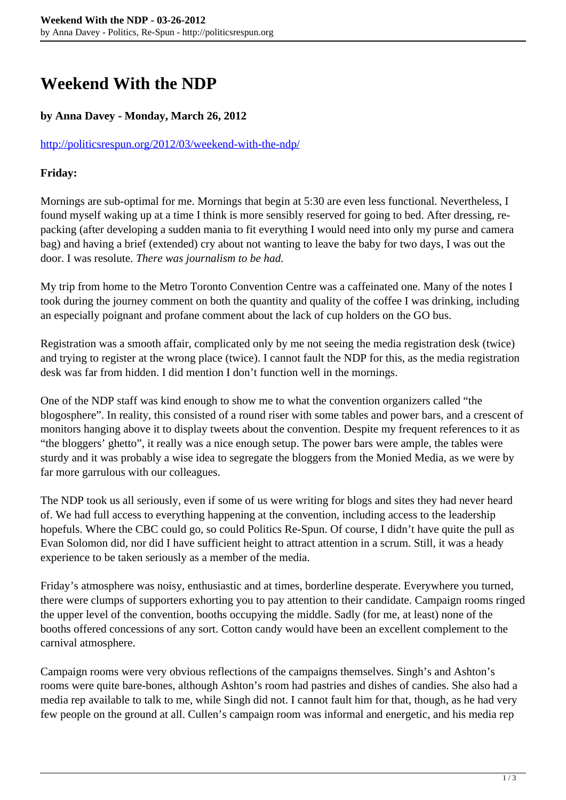# **Weekend With the NDP**

### **by Anna Davey - Monday, March 26, 2012**

#### <http://politicsrespun.org/2012/03/weekend-with-the-ndp/>

#### **Friday:**

Mornings are sub-optimal for me. Mornings that begin at 5:30 are even less functional. Nevertheless, I found myself waking up at a time I think is more sensibly reserved for going to bed. After dressing, repacking (after developing a sudden mania to fit everything I would need into only my purse and camera bag) and having a brief (extended) cry about not wanting to leave the baby for two days, I was out the door. I was resolute. *There was journalism to be had.*

My trip from home to the Metro Toronto Convention Centre was a caffeinated one. Many of the notes I took during the journey comment on both the quantity and quality of the coffee I was drinking, including an especially poignant and profane comment about the lack of cup holders on the GO bus.

Registration was a smooth affair, complicated only by me not seeing the media registration desk (twice) and trying to register at the wrong place (twice). I cannot fault the NDP for this, as the media registration desk was far from hidden. I did mention I don't function well in the mornings.

One of the NDP staff was kind enough to show me to what the convention organizers called "the blogosphere". In reality, this consisted of a round riser with some tables and power bars, and a crescent of monitors hanging above it to display tweets about the convention. Despite my frequent references to it as "the bloggers' ghetto", it really was a nice enough setup. The power bars were ample, the tables were sturdy and it was probably a wise idea to segregate the bloggers from the Monied Media, as we were by far more garrulous with our colleagues.

The NDP took us all seriously, even if some of us were writing for blogs and sites they had never heard of. We had full access to everything happening at the convention, including access to the leadership hopefuls. Where the CBC could go, so could Politics Re-Spun. Of course, I didn't have quite the pull as Evan Solomon did, nor did I have sufficient height to attract attention in a scrum. Still, it was a heady experience to be taken seriously as a member of the media.

Friday's atmosphere was noisy, enthusiastic and at times, borderline desperate. Everywhere you turned, there were clumps of supporters exhorting you to pay attention to their candidate. Campaign rooms ringed the upper level of the convention, booths occupying the middle. Sadly (for me, at least) none of the booths offered concessions of any sort. Cotton candy would have been an excellent complement to the carnival atmosphere.

Campaign rooms were very obvious reflections of the campaigns themselves. Singh's and Ashton's rooms were quite bare-bones, although Ashton's room had pastries and dishes of candies. She also had a media rep available to talk to me, while Singh did not. I cannot fault him for that, though, as he had very few people on the ground at all. Cullen's campaign room was informal and energetic, and his media rep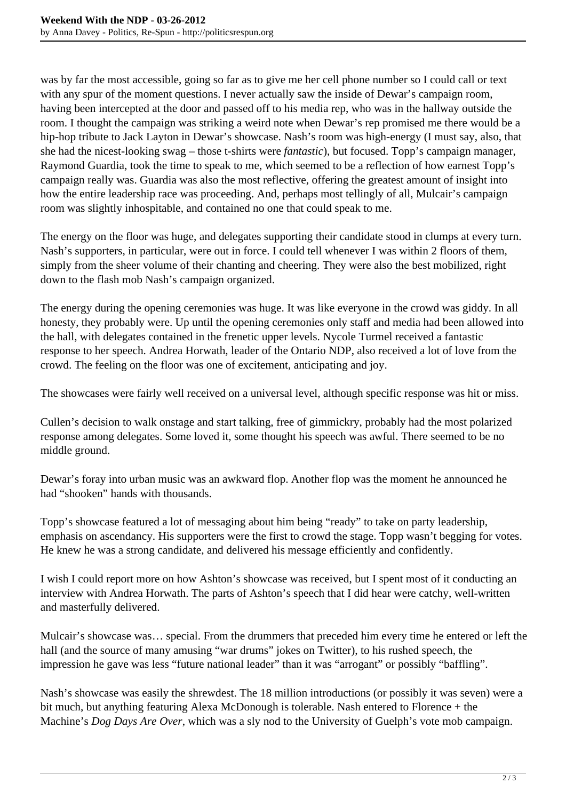was by far the most accessible, going so far as to give me her cell phone number so I could call or text with any spur of the moment questions. I never actually saw the inside of Dewar's campaign room, having been intercepted at the door and passed off to his media rep, who was in the hallway outside the room. I thought the campaign was striking a weird note when Dewar's rep promised me there would be a hip-hop tribute to Jack Layton in Dewar's showcase. Nash's room was high-energy (I must say, also, that she had the nicest-looking swag – those t-shirts were *fantastic*), but focused. Topp's campaign manager, Raymond Guardia, took the time to speak to me, which seemed to be a reflection of how earnest Topp's campaign really was. Guardia was also the most reflective, offering the greatest amount of insight into how the entire leadership race was proceeding. And, perhaps most tellingly of all, Mulcair's campaign room was slightly inhospitable, and contained no one that could speak to me.

The energy on the floor was huge, and delegates supporting their candidate stood in clumps at every turn. Nash's supporters, in particular, were out in force. I could tell whenever I was within 2 floors of them, simply from the sheer volume of their chanting and cheering. They were also the best mobilized, right down to the flash mob Nash's campaign organized.

The energy during the opening ceremonies was huge. It was like everyone in the crowd was giddy. In all honesty, they probably were. Up until the opening ceremonies only staff and media had been allowed into the hall, with delegates contained in the frenetic upper levels. Nycole Turmel received a fantastic response to her speech. Andrea Horwath, leader of the Ontario NDP, also received a lot of love from the crowd. The feeling on the floor was one of excitement, anticipating and joy.

The showcases were fairly well received on a universal level, although specific response was hit or miss.

Cullen's decision to walk onstage and start talking, free of gimmickry, probably had the most polarized response among delegates. Some loved it, some thought his speech was awful. There seemed to be no middle ground.

Dewar's foray into urban music was an awkward flop. Another flop was the moment he announced he had "shooken" hands with thousands.

Topp's showcase featured a lot of messaging about him being "ready" to take on party leadership, emphasis on ascendancy. His supporters were the first to crowd the stage. Topp wasn't begging for votes. He knew he was a strong candidate, and delivered his message efficiently and confidently.

I wish I could report more on how Ashton's showcase was received, but I spent most of it conducting an interview with Andrea Horwath. The parts of Ashton's speech that I did hear were catchy, well-written and masterfully delivered.

Mulcair's showcase was… special. From the drummers that preceded him every time he entered or left the hall (and the source of many amusing "war drums" jokes on Twitter), to his rushed speech, the impression he gave was less "future national leader" than it was "arrogant" or possibly "baffling".

Nash's showcase was easily the shrewdest. The 18 million introductions (or possibly it was seven) were a bit much, but anything featuring Alexa McDonough is tolerable. Nash entered to Florence + the Machine's *Dog Days Are Over*, which was a sly nod to the University of Guelph's vote mob campaign.